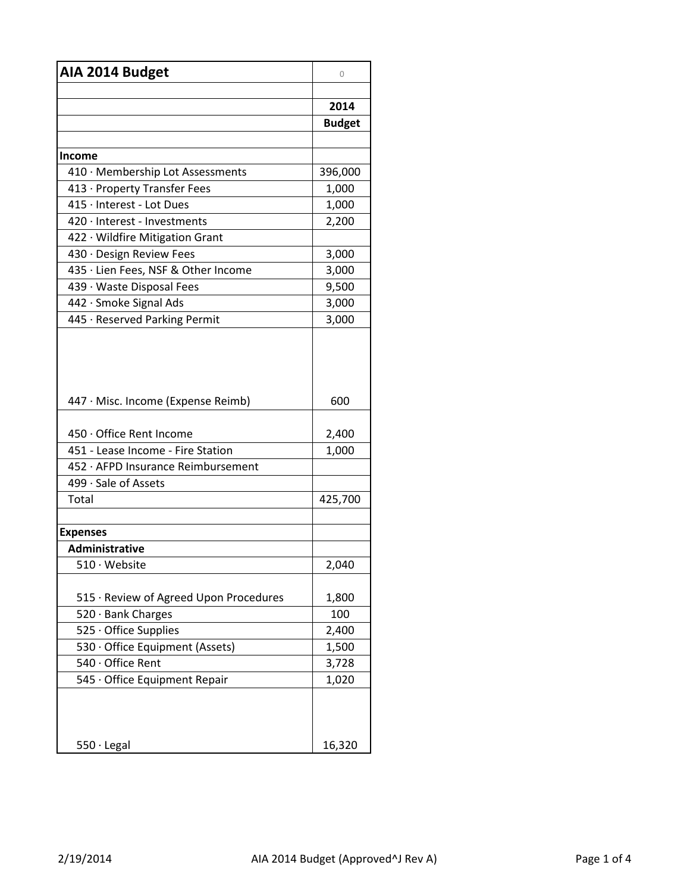| AIA 2014 Budget                        | 0             |
|----------------------------------------|---------------|
|                                        |               |
|                                        | 2014          |
|                                        | <b>Budget</b> |
|                                        |               |
| Income                                 |               |
| 410 · Membership Lot Assessments       | 396,000       |
| 413 · Property Transfer Fees           | 1,000         |
| 415 · Interest - Lot Dues              | 1,000         |
| 420 · Interest - Investments           | 2,200         |
| 422 · Wildfire Mitigation Grant        |               |
| 430 · Design Review Fees               | 3,000         |
| 435 · Lien Fees, NSF & Other Income    | 3,000         |
| 439 · Waste Disposal Fees              | 9,500         |
| 442 · Smoke Signal Ads                 | 3,000         |
| 445 · Reserved Parking Permit          | 3,000         |
| 447 · Misc. Income (Expense Reimb)     | 600           |
| 450 · Office Rent Income               | 2,400         |
| 451 - Lease Income - Fire Station      | 1,000         |
| 452 · AFPD Insurance Reimbursement     |               |
| 499 · Sale of Assets                   |               |
| Total                                  | 425,700       |
|                                        |               |
| <b>Expenses</b>                        |               |
| Administrative                         |               |
| 510 · Website                          | 2,040         |
|                                        |               |
| 515 · Review of Agreed Upon Procedures | 1,800         |
| 520 · Bank Charges                     | 100           |
| 525 Office Supplies                    | 2,400         |
| 530 · Office Equipment (Assets)        | 1,500         |
| 540 Office Rent                        | 3,728         |
| 545 · Office Equipment Repair          | 1,020         |
| $550 \cdot$ Legal                      | 16,320        |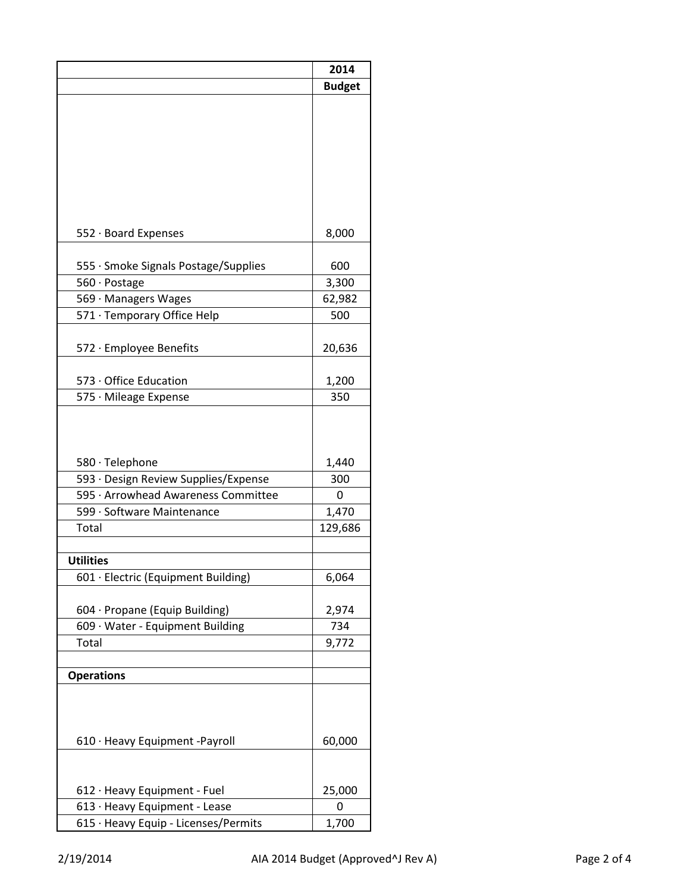|                                      | 2014          |
|--------------------------------------|---------------|
|                                      | <b>Budget</b> |
|                                      |               |
|                                      |               |
|                                      |               |
|                                      |               |
|                                      |               |
|                                      |               |
|                                      |               |
|                                      |               |
| 552 · Board Expenses                 | 8,000         |
|                                      |               |
| 555 · Smoke Signals Postage/Supplies | 600           |
| 560 · Postage                        | 3,300         |
| 569 · Managers Wages                 | 62,982        |
| 571 · Temporary Office Help          | 500           |
|                                      |               |
| 572 · Employee Benefits              | 20,636        |
|                                      |               |
| 573 Office Education                 | 1,200         |
| 575 · Mileage Expense                | 350           |
|                                      |               |
|                                      |               |
|                                      |               |
| 580 · Telephone                      | 1,440         |
| 593 · Design Review Supplies/Expense | 300           |
| 595 · Arrowhead Awareness Committee  | 0             |
| 599 · Software Maintenance           | 1,470         |
| Total                                | 129,686       |
|                                      |               |
| <b>Utilities</b>                     |               |
| 601 · Electric (Equipment Building)  | 6,064         |
|                                      |               |
| 604 · Propane (Equip Building)       | 2,974         |
| 609 · Water - Equipment Building     | 734           |
| Total                                | 9,772         |
|                                      |               |
| <b>Operations</b>                    |               |
|                                      |               |
|                                      |               |
|                                      |               |
| 610 · Heavy Equipment -Payroll       | 60,000        |
|                                      |               |
|                                      |               |
| 612 · Heavy Equipment - Fuel         | 25,000        |
| 613 · Heavy Equipment - Lease        | 0             |
| 615 · Heavy Equip - Licenses/Permits | 1,700         |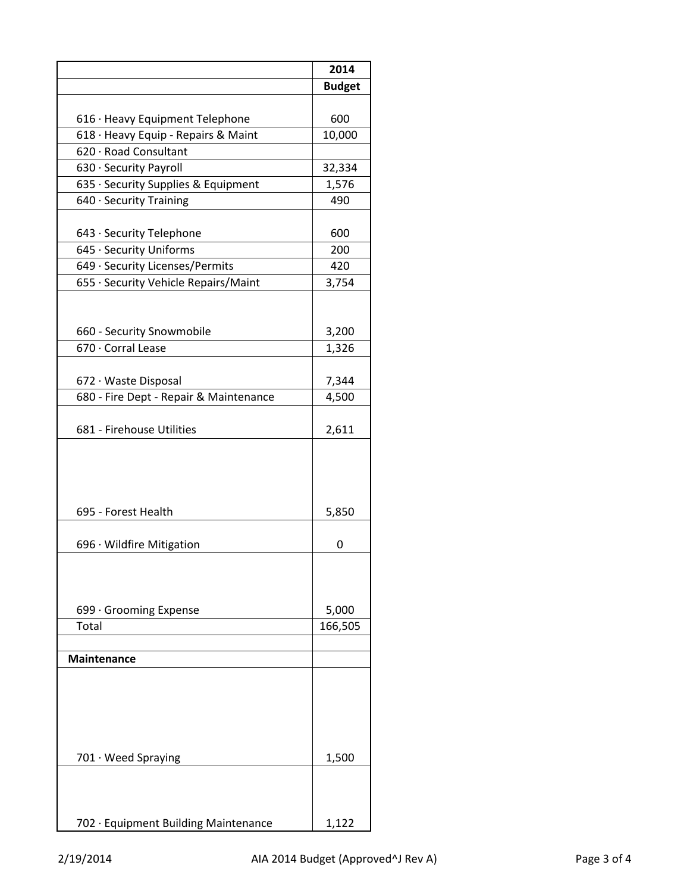|                                        | 2014          |
|----------------------------------------|---------------|
|                                        | <b>Budget</b> |
|                                        |               |
| 616 · Heavy Equipment Telephone        | 600           |
| 618 · Heavy Equip - Repairs & Maint    | 10,000        |
| 620 · Road Consultant                  |               |
| 630 · Security Payroll                 | 32,334        |
| 635 · Security Supplies & Equipment    | 1,576         |
| 640 · Security Training                | 490           |
| 643 · Security Telephone               | 600           |
| 645 · Security Uniforms                | 200           |
| 649 · Security Licenses/Permits        | 420           |
| 655 · Security Vehicle Repairs/Maint   | 3,754         |
|                                        |               |
| 660 - Security Snowmobile              | 3,200         |
| 670 · Corral Lease                     | 1,326         |
| 672 · Waste Disposal                   | 7,344         |
| 680 - Fire Dept - Repair & Maintenance | 4,500         |
| 681 - Firehouse Utilities              | 2,611         |
| 695 - Forest Health                    | 5,850         |
|                                        |               |
| 696 · Wildfire Mitigation              | 0             |
|                                        |               |
| 699 · Grooming Expense                 | 5,000         |
| Total                                  | 166,505       |
| <b>Maintenance</b>                     |               |
|                                        |               |
| 701 · Weed Spraying                    | 1,500         |
|                                        |               |
| 702 · Equipment Building Maintenance   | 1,122         |